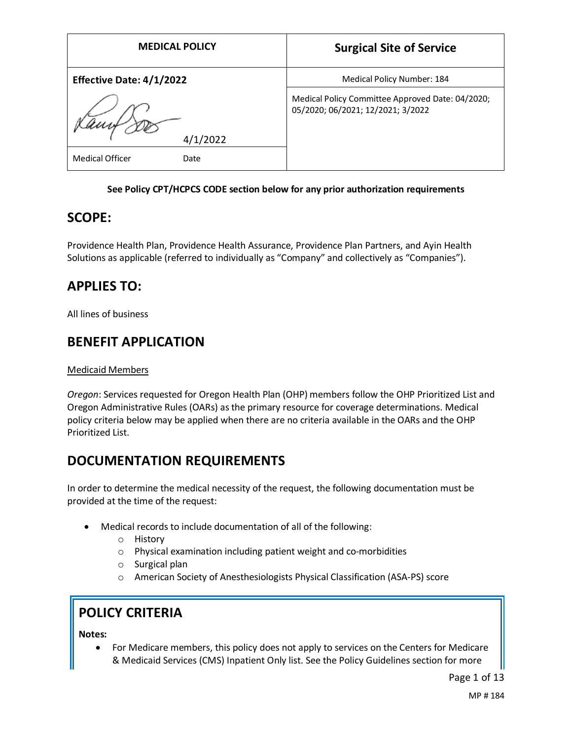| <b>MEDICAL POLICY</b>           | <b>Surgical Site of Service</b>                                                       |
|---------------------------------|---------------------------------------------------------------------------------------|
| <b>Effective Date: 4/1/2022</b> | Medical Policy Number: 184                                                            |
|                                 | Medical Policy Committee Approved Date: 04/2020;<br>05/2020; 06/2021; 12/2021; 3/2022 |
| 4/1/2022                        |                                                                                       |
| <b>Medical Officer</b><br>Date  |                                                                                       |

## **See Policy CPT/HCPCS CODE section below for any prior authorization requirements**

## **SCOPE:**

Providence Health Plan, Providence Health Assurance, Providence Plan Partners, and Ayin Health Solutions as applicable (referred to individually as "Company" and collectively as "Companies").

# **APPLIES TO:**

All lines of business

## **BENEFIT APPLICATION**

### Medicaid Members

*Oregon*: Services requested for Oregon Health Plan (OHP) members follow the OHP Prioritized List and Oregon Administrative Rules (OARs) as the primary resource for coverage determinations. Medical policy criteria below may be applied when there are no criteria available in the OARs and the OHP Prioritized List.

# **DOCUMENTATION REQUIREMENTS**

In order to determine the medical necessity of the request, the following documentation must be provided at the time of the request:

- Medical records to include documentation of all of the following:
	- o History
	- o Physical examination including patient weight and co-morbidities
	- o Surgical plan
	- o American Society of Anesthesiologists Physical Classification (ASA-PS) score

# **POLICY CRITERIA**

**Notes:** 

• For Medicare members, this policy does not apply to services on the Centers for Medicare & Medicaid Services (CMS) Inpatient Only list. See the Policy Guidelines section for more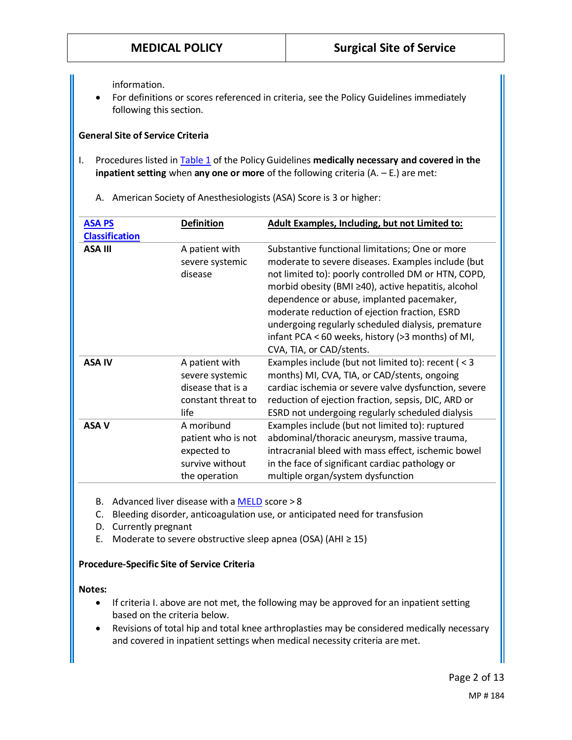information.

• For definitions or scores referenced in criteria, see the Policy Guidelines immediately following this section.

## **General Site of Service Criteria**

I. Procedures listed in [Table 1](#page-3-0) of the Policy Guidelines **medically necessary and covered in the inpatient setting** when **any one or more** of the following criteria (A. – E.) are met:

A. American Society of Anesthesiologists (ASA) Score is 3 or higher:

| <b>ASA PS</b><br><b>Classification</b> | <b>Definition</b>                                                                    | Adult Examples, Including, but not Limited to:                                                                                                                                                                                                                                                                                                                                                                                                           |
|----------------------------------------|--------------------------------------------------------------------------------------|----------------------------------------------------------------------------------------------------------------------------------------------------------------------------------------------------------------------------------------------------------------------------------------------------------------------------------------------------------------------------------------------------------------------------------------------------------|
| <b>ASA III</b>                         | A patient with<br>severe systemic<br>disease                                         | Substantive functional limitations; One or more<br>moderate to severe diseases. Examples include (but<br>not limited to): poorly controlled DM or HTN, COPD,<br>morbid obesity (BMI ≥40), active hepatitis, alcohol<br>dependence or abuse, implanted pacemaker,<br>moderate reduction of ejection fraction, ESRD<br>undergoing regularly scheduled dialysis, premature<br>infant PCA < 60 weeks, history (>3 months) of MI,<br>CVA, TIA, or CAD/stents. |
| <b>ASA IV</b>                          | A patient with<br>severe systemic<br>disease that is a<br>constant threat to<br>life | Examples include (but not limited to): recent ( $<$ 3<br>months) MI, CVA, TIA, or CAD/stents, ongoing<br>cardiac ischemia or severe valve dysfunction, severe<br>reduction of ejection fraction, sepsis, DIC, ARD or<br>ESRD not undergoing regularly scheduled dialysis                                                                                                                                                                                 |
| <b>ASA V</b>                           | A moribund<br>patient who is not<br>expected to<br>survive without<br>the operation  | Examples include (but not limited to): ruptured<br>abdominal/thoracic aneurysm, massive trauma,<br>intracranial bleed with mass effect, ischemic bowel<br>in the face of significant cardiac pathology or<br>multiple organ/system dysfunction                                                                                                                                                                                                           |

- B. Advanced liver disease with a [MELD](https://optn.transplant.hrsa.gov/resources/allocation-calculators/meld-calculator/) score > 8
- C. Bleeding disorder, anticoagulation use, or anticipated need for transfusion
- D. Currently pregnant
- E. Moderate to severe obstructive sleep apnea (OSA) (AHI  $\geq$  15)

#### **Procedure-Specific Site of Service Criteria**

#### **Notes:**

- If criteria I. above are not met, the following may be approved for an inpatient setting based on the criteria below.
- Revisions of total hip and total knee arthroplasties may be considered medically necessary and covered in inpatient settings when medical necessity criteria are met.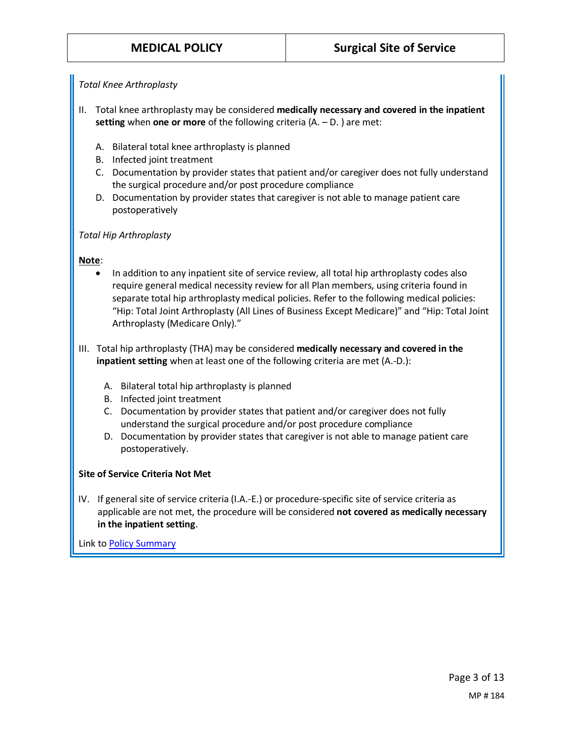## *Total Knee Arthroplasty*

- II. Total knee arthroplasty may be considered **medically necessary and covered in the inpatient setting** when **one or more** of the following criteria (A. – D. ) are met:
	- A. Bilateral total knee arthroplasty is planned
	- B. Infected joint treatment
	- C. Documentation by provider states that patient and/or caregiver does not fully understand the surgical procedure and/or post procedure compliance
	- D. Documentation by provider states that caregiver is not able to manage patient care postoperatively

## *Total Hip Arthroplasty*

## **Note**:

- In addition to any inpatient site of service review, all total hip arthroplasty codes also require general medical necessity review for all Plan members, using criteria found in separate total hip arthroplasty medical policies. Refer to the following medical policies: "Hip: Total Joint Arthroplasty (All Lines of Business Except Medicare)" and "Hip: Total Joint Arthroplasty (Medicare Only)."
- III. Total hip arthroplasty (THA) may be considered **medically necessary and covered in the inpatient setting** when at least one of the following criteria are met (A.-D.):
	- A. Bilateral total hip arthroplasty is planned
	- B. Infected joint treatment
	- C. Documentation by provider states that patient and/or caregiver does not fully understand the surgical procedure and/or post procedure compliance
	- D. Documentation by provider states that caregiver is not able to manage patient care postoperatively.

## **Site of Service Criteria Not Met**

IV. If general site of service criteria (I.A.-E.) or procedure-specific site of service criteria as applicable are not met, the procedure will be considered **not covered as medically necessary in the inpatient setting**.

Link t[o Policy Summary](#page-3-0)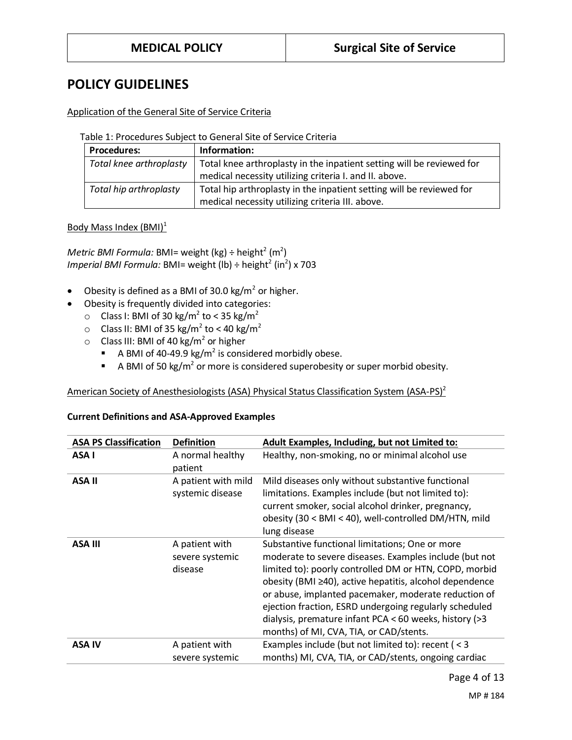## **POLICY GUIDELINES**

## Application of the General Site of Service Criteria

<span id="page-3-0"></span>Table 1: Procedures Subject to General Site of Service Criteria

| <b>Procedures:</b>      | Information:                                                          |
|-------------------------|-----------------------------------------------------------------------|
| Total knee arthroplasty | Total knee arthroplasty in the inpatient setting will be reviewed for |
|                         | medical necessity utilizing criteria I. and II. above.                |
| Total hip arthroplasty  | Total hip arthroplasty in the inpatient setting will be reviewed for  |
|                         | medical necessity utilizing criteria III. above.                      |

Body Mass Index  $(BMI)^1$ 

 $\mathsf{Metric}\ \mathsf{BMI}\ \mathsf{Formula}\colon \mathsf{BMI}$  weight (kg) ÷ height $^2$  (m $^2)$ *Imperial BMI Formula: BMI= weight (Ib) ÷ height<sup>2</sup> (in<sup>2</sup>) x 703* 

- Obesity is defined as a BMI of 30.0  $\text{kg/m}^2$  or higher.
	- Obesity is frequently divided into categories:
		- $\circ$  Class I: BMI of 30 kg/m<sup>2</sup> to < 35 kg/m<sup>2</sup>
		- $\circ$  Class II: BMI of 35 kg/m<sup>2</sup> to < 40 kg/m<sup>2</sup>
		- $\circ$  Class III: BMI of 40 kg/m<sup>2</sup> or higher
			- **A BMI of 40-49.9 kg/m<sup>2</sup> is considered morbidly obese.**
			- **EXE** A BMI of 50 kg/m<sup>2</sup> or more is considered superobesity or super morbid obesity.

## American Society of Anesthesiologists (ASA) Physical Status Classification System (ASA-PS)<sup>2</sup>

| <b>ASA PS Classification</b><br><b>Definition</b><br>Adult Examples, Including, but not Limited to:<br>ASA I<br>Healthy, non-smoking, no or minimal alcohol use<br>A normal healthy<br>patient<br><b>ASA II</b><br>Mild diseases only without substantive functional<br>A patient with mild<br>limitations. Examples include (but not limited to):<br>systemic disease<br>current smoker, social alcohol drinker, pregnancy,<br>obesity (30 < BMI < 40), well-controlled DM/HTN, mild<br>lung disease<br><b>ASA III</b><br>A patient with<br>Substantive functional limitations; One or more<br>moderate to severe diseases. Examples include (but not<br>severe systemic<br>disease<br>limited to): poorly controlled DM or HTN, COPD, morbid<br>obesity (BMI ≥40), active hepatitis, alcohol dependence<br>or abuse, implanted pacemaker, moderate reduction of<br>ejection fraction, ESRD undergoing regularly scheduled<br>dialysis, premature infant PCA < 60 weeks, history (>3<br>months) of MI, CVA, TIA, or CAD/stents.<br>Examples include (but not limited to): recent (<3<br><b>ASA IV</b><br>A patient with<br>months) MI, CVA, TIA, or CAD/stents, ongoing cardiac<br>severe systemic |  |  |
|-----------------------------------------------------------------------------------------------------------------------------------------------------------------------------------------------------------------------------------------------------------------------------------------------------------------------------------------------------------------------------------------------------------------------------------------------------------------------------------------------------------------------------------------------------------------------------------------------------------------------------------------------------------------------------------------------------------------------------------------------------------------------------------------------------------------------------------------------------------------------------------------------------------------------------------------------------------------------------------------------------------------------------------------------------------------------------------------------------------------------------------------------------------------------------------------------------|--|--|
|                                                                                                                                                                                                                                                                                                                                                                                                                                                                                                                                                                                                                                                                                                                                                                                                                                                                                                                                                                                                                                                                                                                                                                                                     |  |  |
|                                                                                                                                                                                                                                                                                                                                                                                                                                                                                                                                                                                                                                                                                                                                                                                                                                                                                                                                                                                                                                                                                                                                                                                                     |  |  |
|                                                                                                                                                                                                                                                                                                                                                                                                                                                                                                                                                                                                                                                                                                                                                                                                                                                                                                                                                                                                                                                                                                                                                                                                     |  |  |
|                                                                                                                                                                                                                                                                                                                                                                                                                                                                                                                                                                                                                                                                                                                                                                                                                                                                                                                                                                                                                                                                                                                                                                                                     |  |  |
|                                                                                                                                                                                                                                                                                                                                                                                                                                                                                                                                                                                                                                                                                                                                                                                                                                                                                                                                                                                                                                                                                                                                                                                                     |  |  |

## **Current Definitions and ASA-Approved Examples**

Page 4 of 13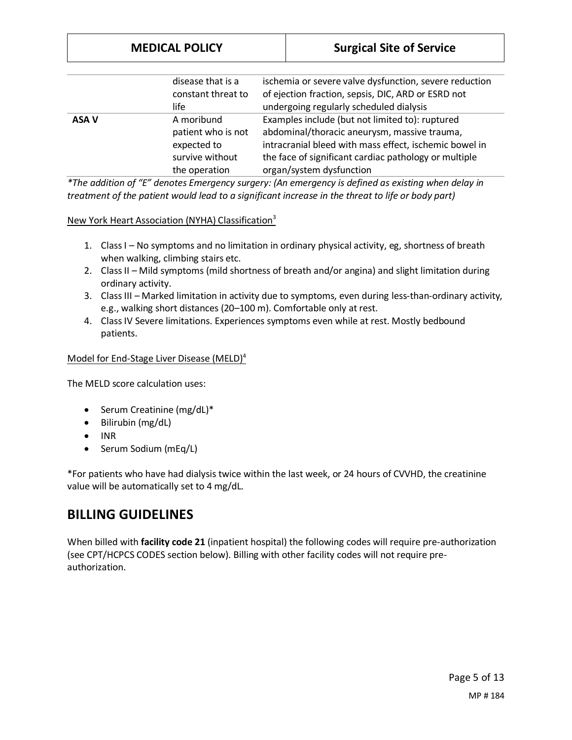|       | disease that is a<br>constant threat to<br>life                                     | ischemia or severe valve dysfunction, severe reduction<br>of ejection fraction, sepsis, DIC, ARD or ESRD not<br>undergoing regularly scheduled dialysis                                                                                        |
|-------|-------------------------------------------------------------------------------------|------------------------------------------------------------------------------------------------------------------------------------------------------------------------------------------------------------------------------------------------|
| ASA V | A moribund<br>patient who is not<br>expected to<br>survive without<br>the operation | Examples include (but not limited to): ruptured<br>abdominal/thoracic aneurysm, massive trauma,<br>intracranial bleed with mass effect, ischemic bowel in<br>the face of significant cardiac pathology or multiple<br>organ/system dysfunction |

*\*The addition of "E" denotes Emergency surgery: (An emergency is defined as existing when delay in treatment of the patient would lead to a significant increase in the threat to life or body part)*

### New York Heart Association (NYHA) Classification<sup>3</sup>

- 1. Class I No symptoms and no limitation in ordinary physical activity, eg, shortness of breath when walking, climbing stairs etc.
- 2. Class II Mild symptoms (mild shortness of breath and/or angina) and slight limitation during ordinary activity.
- 3. Class III Marked limitation in activity due to symptoms, even during less-than-ordinary activity, e.g., walking short distances (20–100 m). Comfortable only at rest.
- 4. Class IV Severe limitations. Experiences symptoms even while at rest. Mostly bedbound patients.

## Model for End-Stage Liver Disease (MELD)<sup>4</sup>

The MELD score calculation uses:

- Serum Creatinine (mg/dL)\*
- Bilirubin (mg/dL)
- INR
- Serum Sodium (mEq/L)

\*For patients who have had dialysis twice within the last week, or 24 hours of CVVHD, the creatinine value will be automatically set to 4 mg/dL.

## **BILLING GUIDELINES**

When billed with **facility code 21** (inpatient hospital) the following codes will require pre-authorization (see CPT/HCPCS CODES section below). Billing with other facility codes will not require preauthorization.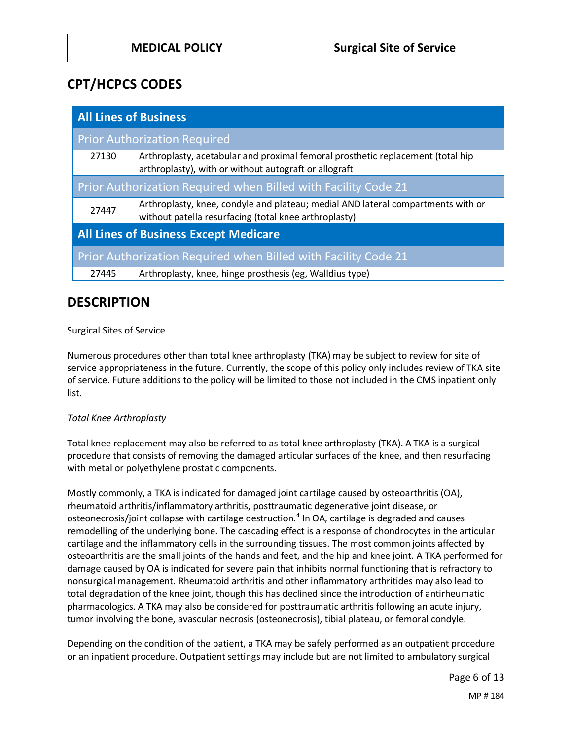# **CPT/HCPCS CODES**

| <b>All Lines of Business</b>                                   |                                                                                                                                           |  |
|----------------------------------------------------------------|-------------------------------------------------------------------------------------------------------------------------------------------|--|
| <b>Prior Authorization Required</b>                            |                                                                                                                                           |  |
| 27130                                                          | Arthroplasty, acetabular and proximal femoral prosthetic replacement (total hip<br>arthroplasty), with or without autograft or allograft  |  |
| Prior Authorization Required when Billed with Facility Code 21 |                                                                                                                                           |  |
| 27447                                                          | Arthroplasty, knee, condyle and plateau; medial AND lateral compartments with or<br>without patella resurfacing (total knee arthroplasty) |  |
| <b>All Lines of Business Except Medicare</b>                   |                                                                                                                                           |  |
| Prior Authorization Required when Billed with Facility Code 21 |                                                                                                                                           |  |
| 27445                                                          | Arthroplasty, knee, hinge prosthesis (eg, Walldius type)                                                                                  |  |

## **DESCRIPTION**

## Surgical Sites of Service

Numerous procedures other than total knee arthroplasty (TKA) may be subject to review for site of service appropriateness in the future. Currently, the scope of this policy only includes review of TKA site of service. Future additions to the policy will be limited to those not included in the CMS inpatient only list.

## *Total Knee Arthroplasty*

Total knee replacement may also be referred to as total knee arthroplasty (TKA). A TKA is a surgical procedure that consists of removing the damaged articular surfaces of the knee, and then resurfacing with metal or polyethylene prostatic components.

Mostly commonly, a TKA is indicated for damaged joint cartilage caused by osteoarthritis (OA), rheumatoid arthritis/inflammatory arthritis, posttraumatic degenerative joint disease, or osteonecrosis/joint collapse with cartilage destruction.<sup>4</sup> In OA, cartilage is degraded and causes remodelling of the underlying bone. The cascading effect is a response of chondrocytes in the articular cartilage and the inflammatory cells in the surrounding tissues. The most common joints affected by osteoarthritis are the small joints of the hands and feet, and the hip and knee joint. A TKA performed for damage caused by OA is indicated for severe pain that inhibits normal functioning that is refractory to nonsurgical management. Rheumatoid arthritis and other inflammatory arthritides may also lead to total degradation of the knee joint, though this has declined since the introduction of antirheumatic pharmacologics. A TKA may also be considered for posttraumatic arthritis following an acute injury, tumor involving the bone, avascular necrosis (osteonecrosis), tibial plateau, or femoral condyle.

Depending on the condition of the patient, a TKA may be safely performed as an outpatient procedure or an inpatient procedure. Outpatient settings may include but are not limited to ambulatory surgical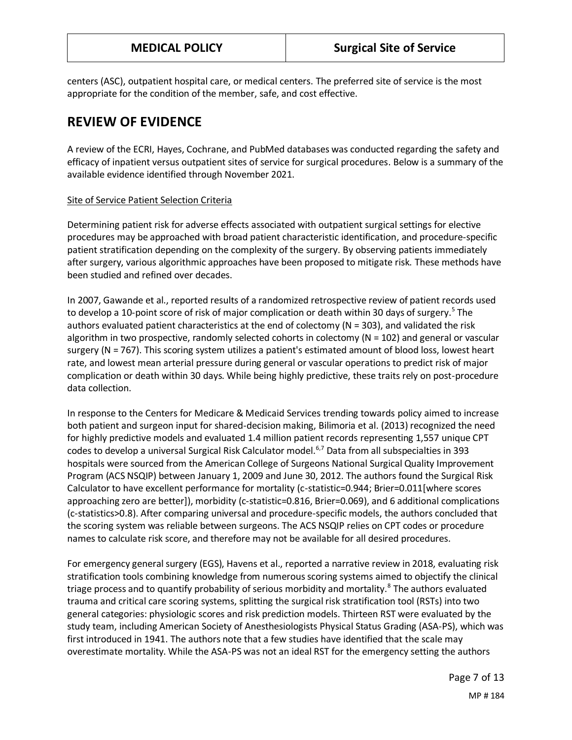centers (ASC), outpatient hospital care, or medical centers. The preferred site of service is the most appropriate for the condition of the member, safe, and cost effective.

# **REVIEW OF EVIDENCE**

A review of the ECRI, Hayes, Cochrane, and PubMed databases was conducted regarding the safety and efficacy of inpatient versus outpatient sites of service for surgical procedures. Below is a summary of the available evidence identified through November 2021.

## Site of Service Patient Selection Criteria

Determining patient risk for adverse effects associated with outpatient surgical settings for elective procedures may be approached with broad patient characteristic identification, and procedure-specific patient stratification depending on the complexity of the surgery. By observing patients immediately after surgery, various algorithmic approaches have been proposed to mitigate risk. These methods have been studied and refined over decades.

In 2007, Gawande et al., reported results of a randomized retrospective review of patient records used to develop a 10-point score of risk of major complication or death within 30 days of surgery.<sup>5</sup> The authors evaluated patient characteristics at the end of colectomy (N = 303), and validated the risk algorithm in two prospective, randomly selected cohorts in colectomy ( $N = 102$ ) and general or vascular surgery (N = 767). This scoring system utilizes a patient's estimated amount of blood loss, lowest heart rate, and lowest mean arterial pressure during general or vascular operations to predict risk of major complication or death within 30 days. While being highly predictive, these traits rely on post-procedure data collection.

In response to the Centers for Medicare & Medicaid Services trending towards policy aimed to increase both patient and surgeon input for shared-decision making, Bilimoria et al. (2013) recognized the need for highly predictive models and evaluated 1.4 million patient records representing 1,557 unique CPT codes to develop a universal Surgical Risk Calculator model.<sup>6,7</sup> Data from all subspecialties in 393 hospitals were sourced from the American College of Surgeons National Surgical Quality Improvement Program (ACS NSQIP) between January 1, 2009 and June 30, 2012. The authors found the Surgical Risk Calculator to have excellent performance for mortality (c-statistic=0.944; Brier=0.011[where scores approaching zero are better]), morbidity (c-statistic=0.816, Brier=0.069), and 6 additional complications (c-statistics>0.8). After comparing universal and procedure-specific models, the authors concluded that the scoring system was reliable between surgeons. The ACS NSQIP relies on CPT codes or procedure names to calculate risk score, and therefore may not be available for all desired procedures.

For emergency general surgery (EGS), Havens et al., reported a narrative review in 2018, evaluating risk stratification tools combining knowledge from numerous scoring systems aimed to objectify the clinical triage process and to quantify probability of serious morbidity and mortality.<sup>8</sup> The authors evaluated trauma and critical care scoring systems, splitting the surgical risk stratification tool (RSTs) into two general categories: physiologic scores and risk prediction models. Thirteen RST were evaluated by the study team, including American Society of Anesthesiologists Physical Status Grading (ASA-PS), which was first introduced in 1941. The authors note that a few studies have identified that the scale may overestimate mortality. While the ASA-PS was not an ideal RST for the emergency setting the authors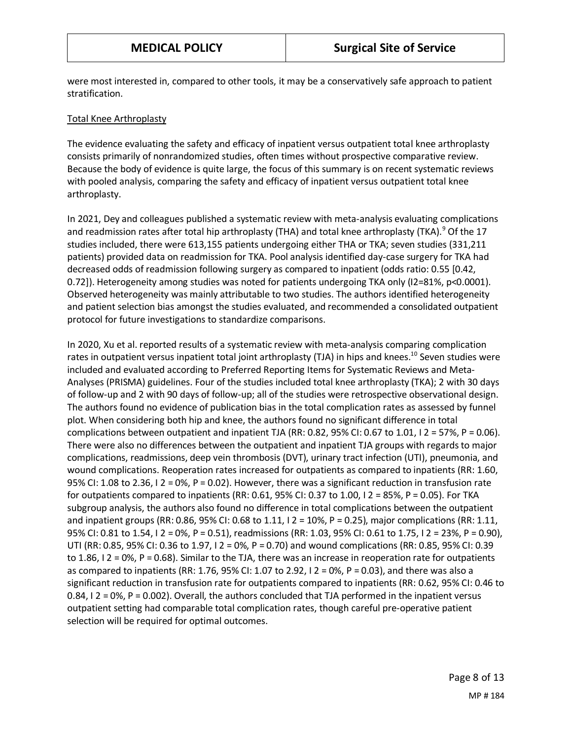were most interested in, compared to other tools, it may be a conservatively safe approach to patient stratification.

### Total Knee Arthroplasty

The evidence evaluating the safety and efficacy of inpatient versus outpatient total knee arthroplasty consists primarily of nonrandomized studies, often times without prospective comparative review. Because the body of evidence is quite large, the focus of this summary is on recent systematic reviews with pooled analysis, comparing the safety and efficacy of inpatient versus outpatient total knee arthroplasty.

In 2021, Dey and colleagues published a systematic review with meta-analysis evaluating complications and readmission rates after total hip arthroplasty (THA) and total knee arthroplasty (TKA).<sup>9</sup> Of the 17 studies included, there were 613,155 patients undergoing either THA or TKA; seven studies (331,211 patients) provided data on readmission for TKA. Pool analysis identified day-case surgery for TKA had decreased odds of readmission following surgery as compared to inpatient (odds ratio: 0.55 [0.42, 0.72]). Heterogeneity among studies was noted for patients undergoing TKA only (I2=81%, p<0.0001). Observed heterogeneity was mainly attributable to two studies. The authors identified heterogeneity and patient selection bias amongst the studies evaluated, and recommended a consolidated outpatient protocol for future investigations to standardize comparisons.

In 2020, Xu et al. reported results of a systematic review with meta-analysis comparing complication rates in outpatient versus inpatient total joint arthroplasty (TJA) in hips and knees.<sup>10</sup> Seven studies were included and evaluated according to Preferred Reporting Items for Systematic Reviews and Meta-Analyses (PRISMA) guidelines. Four of the studies included total knee arthroplasty (TKA); 2 with 30 days of follow-up and 2 with 90 days of follow-up; all of the studies were retrospective observational design. The authors found no evidence of publication bias in the total complication rates as assessed by funnel plot. When considering both hip and knee, the authors found no significant difference in total complications between outpatient and inpatient TJA (RR: 0.82, 95% CI: 0.67 to 1.01, I 2 = 57%, P = 0.06). There were also no differences between the outpatient and inpatient TJA groups with regards to major complications, readmissions, deep vein thrombosis (DVT), urinary tract infection (UTI), pneumonia, and wound complications. Reoperation rates increased for outpatients as compared to inpatients (RR: 1.60, 95% CI: 1.08 to 2.36, I 2 = 0%, P = 0.02). However, there was a significant reduction in transfusion rate for outpatients compared to inpatients (RR: 0.61, 95% CI: 0.37 to 1.00, I 2 = 85%, P = 0.05). For TKA subgroup analysis, the authors also found no difference in total complications between the outpatient and inpatient groups (RR: 0.86, 95% CI: 0.68 to 1.11, I 2 = 10%, P = 0.25), major complications (RR: 1.11, 95% CI: 0.81 to 1.54, I 2 = 0%, P = 0.51), readmissions (RR: 1.03, 95% CI: 0.61 to 1.75, I 2 = 23%, P = 0.90), UTI (RR: 0.85, 95% CI: 0.36 to 1.97, I 2 = 0%, P = 0.70) and wound complications (RR: 0.85, 95% CI: 0.39 to 1.86, I 2 = 0%, P = 0.68). Similar to the TJA, there was an increase in reoperation rate for outpatients as compared to inpatients (RR: 1.76, 95% CI: 1.07 to 2.92, I 2 = 0%, P = 0.03), and there was also a significant reduction in transfusion rate for outpatients compared to inpatients (RR: 0.62, 95% CI: 0.46 to 0.84, I 2 = 0%, P = 0.002). Overall, the authors concluded that TJA performed in the inpatient versus outpatient setting had comparable total complication rates, though careful pre-operative patient selection will be required for optimal outcomes.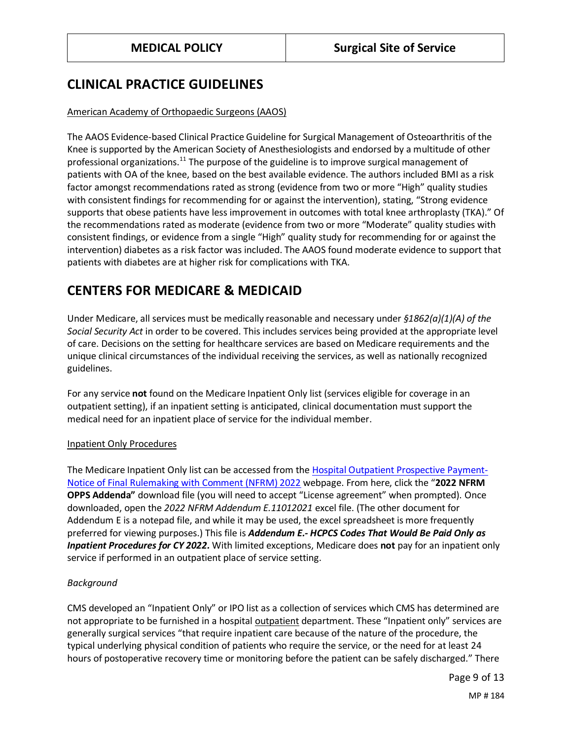## **CLINICAL PRACTICE GUIDELINES**

## American Academy of Orthopaedic Surgeons (AAOS)

The AAOS Evidence-based Clinical Practice Guideline for Surgical Management of Osteoarthritis of the Knee is supported by the American Society of Anesthesiologists and endorsed by a multitude of other professional organizations.<sup>11</sup> The purpose of the guideline is to improve surgical management of patients with OA of the knee, based on the best available evidence. The authors included BMI as a risk factor amongst recommendations rated as strong (evidence from two or more "High" quality studies with consistent findings for recommending for or against the intervention), stating, "Strong evidence supports that obese patients have less improvement in outcomes with total knee arthroplasty (TKA)." Of the recommendations rated as moderate (evidence from two or more "Moderate" quality studies with consistent findings, or evidence from a single "High" quality study for recommending for or against the intervention) diabetes as a risk factor was included. The AAOS found moderate evidence to support that patients with diabetes are at higher risk for complications with TKA.

# **CENTERS FOR MEDICARE & MEDICAID**

Under Medicare, all services must be medically reasonable and necessary under *§1862(a)(1)(A) of the Social Security Act* in order to be covered. This includes services being provided at the appropriate level of care. Decisions on the setting for healthcare services are based on Medicare requirements and the unique clinical circumstances of the individual receiving the services, as well as nationally recognized guidelines.

For any service **not** found on the Medicare Inpatient Only list (services eligible for coverage in an outpatient setting), if an inpatient setting is anticipated, clinical documentation must support the medical need for an inpatient place of service for the individual member.

#### Inpatient Only Procedures

The Medicare Inpatient Only list can be accessed from the [Hospital Outpatient Prospective Payment-](https://www.cms.gov/medicaremedicare-fee-service-paymenthospitaloutpatientpps/cms-1753-fc)[Notice of Final Rulemaking with Comment \(NFRM\) 2022](https://www.cms.gov/medicaremedicare-fee-service-paymenthospitaloutpatientpps/cms-1753-fc) webpage. From here, click the "**2022 NFRM OPPS Addenda"** download file (you will need to accept "License agreement" when prompted). Once downloaded, open the *2022 NFRM Addendum E.11012021* excel file. (The other document for Addendum E is a notepad file, and while it may be used, the excel spreadsheet is more frequently preferred for viewing purposes.) This file is *Addendum E.- HCPCS Codes That Would Be Paid Only as Inpatient Procedures for CY 2022.* With limited exceptions, Medicare does **not** pay for an inpatient only service if performed in an outpatient place of service setting.

## *Background*

CMS developed an "Inpatient Only" or IPO list as a collection of services which CMS has determined are not appropriate to be furnished in a hospital outpatient department. These "Inpatient only" services are generally surgical services "that require inpatient care because of the nature of the procedure, the typical underlying physical condition of patients who require the service, or the need for at least 24 hours of postoperative recovery time or monitoring before the patient can be safely discharged." There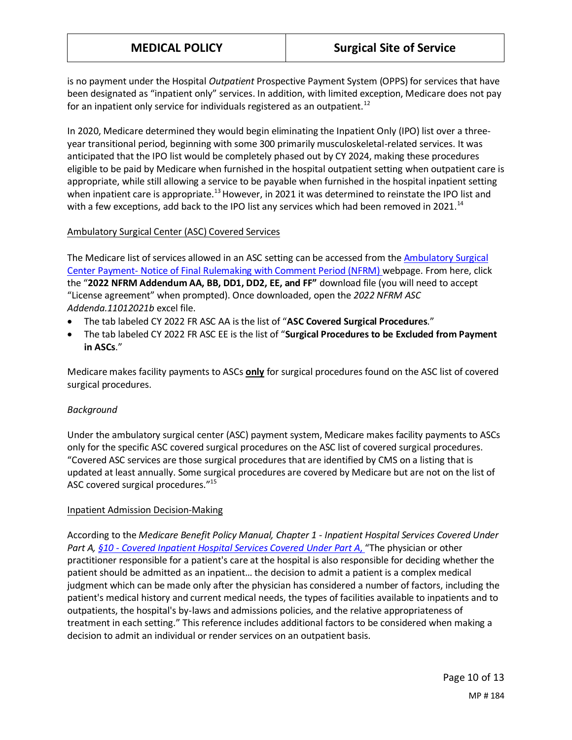is no payment under the Hospital *Outpatient* Prospective Payment System (OPPS) for services that have been designated as "inpatient only" services. In addition, with limited exception, Medicare does not pay for an inpatient only service for individuals registered as an outpatient.<sup>12</sup>

In 2020, Medicare determined they would begin eliminating the Inpatient Only (IPO) list over a threeyear transitional period, beginning with some 300 primarily musculoskeletal-related services. It was anticipated that the IPO list would be completely phased out by CY 2024, making these procedures eligible to be paid by Medicare when furnished in the hospital outpatient setting when outpatient care is appropriate, while still allowing a service to be payable when furnished in the hospital inpatient setting when inpatient care is appropriate.<sup>13</sup> However, in 2021 it was determined to reinstate the IPO list and with a few exceptions, add back to the IPO list any services which had been removed in 2021.<sup>14</sup>

#### Ambulatory Surgical Center (ASC) Covered Services

The Medicare list of services allowed in an ASC setting can be accessed from th[e Ambulatory Surgical](https://www.cms.gov/medicaremedicare-fee-service-paymentascpaymentasc-regulations-and-notices/cms-1753-fc)  Center Payment- [Notice of Final Rulemaking with Comment Period \(NFRM\)](https://www.cms.gov/medicaremedicare-fee-service-paymentascpaymentasc-regulations-and-notices/cms-1753-fc) webpage. From here, click the "**2022 NFRM Addendum AA, BB, DD1, DD2, EE, and FF"** download file (you will need to accept "License agreement" when prompted). Once downloaded, open the *2022 NFRM ASC Addenda.11012021b* excel file.

- The tab labeled CY 2022 FR ASC AA is the list of "**ASC Covered Surgical Procedures**."
- The tab labeled CY 2022 FR ASC EE is the list of "**Surgical Procedures to be Excluded from Payment in ASCs**."

Medicare makes facility payments to ASCs **only** for surgical procedures found on the ASC list of covered surgical procedures.

## *Background*

Under the ambulatory surgical center (ASC) payment system, Medicare makes facility payments to ASCs only for the specific ASC covered surgical procedures on the ASC list of covered surgical procedures. "Covered ASC services are those surgical procedures that are identified by CMS on a listing that is updated at least annually. Some surgical procedures are covered by Medicare but are not on the list of ASC covered surgical procedures."<sup>15</sup>

#### Inpatient Admission Decision-Making

According to the *Medicare Benefit Policy Manual, Chapter 1 - Inpatient Hospital Services Covered Under Part A, §10 - [Covered Inpatient Hospital Services Covered](https://www.cms.gov/Regulations-and-Guidance/Guidance/Manuals/Downloads/bp102c01.pdf#page=7) Under Part A*, "The physician or other practitioner responsible for a patient's care at the hospital is also responsible for deciding whether the patient should be admitted as an inpatient… the decision to admit a patient is a complex medical judgment which can be made only after the physician has considered a number of factors, including the patient's medical history and current medical needs, the types of facilities available to inpatients and to outpatients, the hospital's by-laws and admissions policies, and the relative appropriateness of treatment in each setting." This reference includes additional factors to be considered when making a decision to admit an individual or render services on an outpatient basis.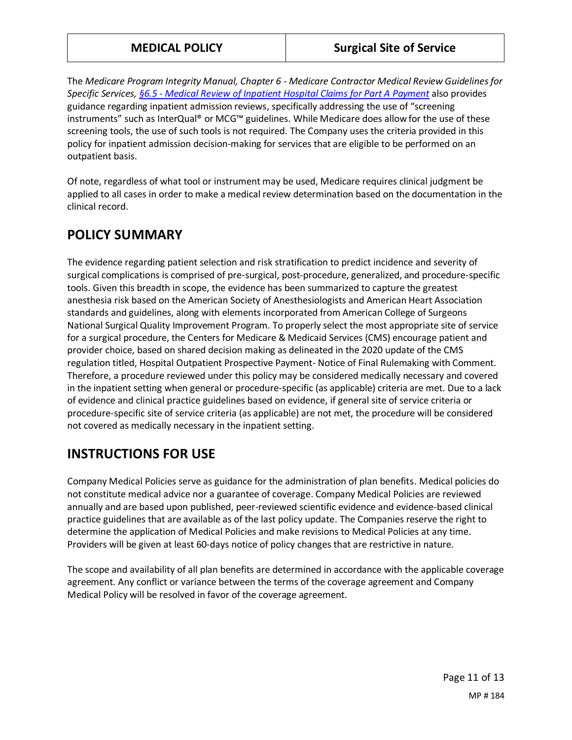The *Medicare Program Integrity Manual, Chapter 6 - Medicare Contractor Medical Review Guidelines for Specific Services, §6.5 - [Medical Review of Inpatient Hospital Claims for Part A Payment](https://www.cms.gov/Regulations-and-Guidance/Guidance/Manuals/Downloads/pim83c06.pdf#page=24)* also provides guidance regarding inpatient admission reviews, specifically addressing the use of "screening instruments" such as InterQual® or MCG™ guidelines. While Medicare does allow for the use of these screening tools, the use of such tools is not required. The Company uses the criteria provided in this policy for inpatient admission decision-making for services that are eligible to be performed on an outpatient basis.

Of note, regardless of what tool or instrument may be used, Medicare requires clinical judgment be applied to all cases in order to make a medical review determination based on the documentation in the clinical record.

# **POLICY SUMMARY**

The evidence regarding patient selection and risk stratification to predict incidence and severity of surgical complications is comprised of pre-surgical, post-procedure, generalized, and procedure-specific tools. Given this breadth in scope, the evidence has been summarized to capture the greatest anesthesia risk based on the American Society of Anesthesiologists and American Heart Association standards and guidelines, along with elements incorporated from American College of Surgeons National Surgical Quality Improvement Program. To properly select the most appropriate site of service for a surgical procedure, the Centers for Medicare & Medicaid Services (CMS) encourage patient and provider choice, based on shared decision making as delineated in the 2020 update of the CMS regulation titled, Hospital Outpatient Prospective Payment- Notice of Final Rulemaking with Comment. Therefore, a procedure reviewed under this policy may be considered medically necessary and covered in the inpatient setting when general or procedure-specific (as applicable) criteria are met. Due to a lack of evidence and clinical practice guidelines based on evidence, if general site of service criteria or procedure-specific site of service criteria (as applicable) are not met, the procedure will be considered not covered as medically necessary in the inpatient setting.

## **INSTRUCTIONS FOR USE**

Company Medical Policies serve as guidance for the administration of plan benefits. Medical policies do not constitute medical advice nor a guarantee of coverage. Company Medical Policies are reviewed annually and are based upon published, peer-reviewed scientific evidence and evidence-based clinical practice guidelines that are available as of the last policy update. The Companies reserve the right to determine the application of Medical Policies and make revisions to Medical Policies at any time. Providers will be given at least 60-days notice of policy changes that are restrictive in nature.

The scope and availability of all plan benefits are determined in accordance with the applicable coverage agreement. Any conflict or variance between the terms of the coverage agreement and Company Medical Policy will be resolved in favor of the coverage agreement.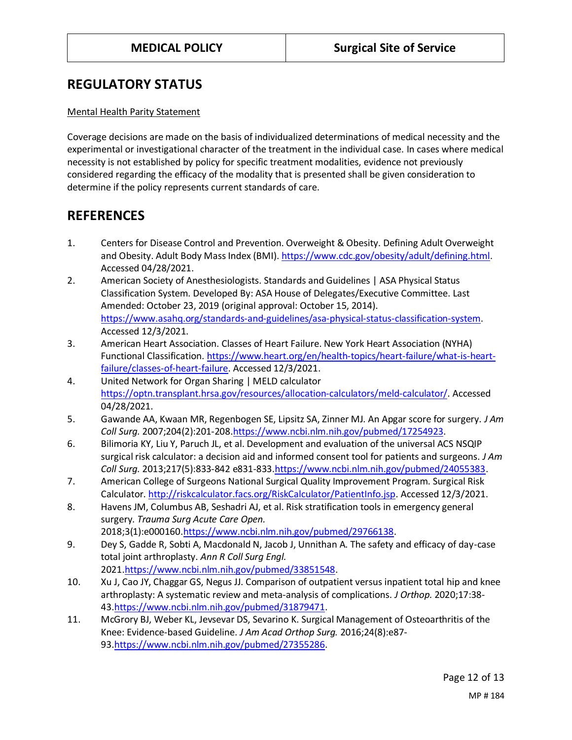## **REGULATORY STATUS**

#### Mental Health Parity Statement

Coverage decisions are made on the basis of individualized determinations of medical necessity and the experimental or investigational character of the treatment in the individual case. In cases where medical necessity is not established by policy for specific treatment modalities, evidence not previously considered regarding the efficacy of the modality that is presented shall be given consideration to determine if the policy represents current standards of care.

## **REFERENCES**

- 1. Centers for Disease Control and Prevention. Overweight & Obesity. Defining Adult Overweight and Obesity. Adult Body Mass Index (BMI)[. https://www.cdc.gov/obesity/adult/defining.html.](https://www.cdc.gov/obesity/adult/defining.html) Accessed 04/28/2021.
- 2. American Society of Anesthesiologists. Standards and Guidelines | ASA Physical Status Classification System. Developed By: ASA House of Delegates/Executive Committee. Last Amended: October 23, 2019 (original approval: October 15, 2014). [https://www.asahq.org/standards-and-guidelines/asa-physical-status-classification-system.](https://www.asahq.org/standards-and-guidelines/asa-physical-status-classification-system) Accessed 12/3/2021.
- 3. American Heart Association. Classes of Heart Failure. New York Heart Association (NYHA) Functional Classification. [https://www.heart.org/en/health-topics/heart-failure/what-is-heart](https://www.heart.org/en/health-topics/heart-failure/what-is-heart-failure/classes-of-heart-failure)[failure/classes-of-heart-failure.](https://www.heart.org/en/health-topics/heart-failure/what-is-heart-failure/classes-of-heart-failure) Accessed 12/3/2021.
- 4. United Network for Organ Sharing | MELD calculator [https://optn.transplant.hrsa.gov/resources/allocation-calculators/meld-calculator/.](https://optn.transplant.hrsa.gov/resources/allocation-calculators/meld-calculator/) Accessed 04/28/2021.
- 5. Gawande AA, Kwaan MR, Regenbogen SE, Lipsitz SA, Zinner MJ. An Apgar score for surgery. *J Am Coll Surg.* 2007;204(2):201-208[.https://www.ncbi.nlm.nih.gov/pubmed/17254923.](https://www.ncbi.nlm.nih.gov/pubmed/17254923)
- 6. Bilimoria KY, Liu Y, Paruch JL, et al. Development and evaluation of the universal ACS NSQIP surgical risk calculator: a decision aid and informed consent tool for patients and surgeons. *J Am Coll Surg.* 2013;217(5):833-842 e831-833[.https://www.ncbi.nlm.nih.gov/pubmed/24055383.](https://www.ncbi.nlm.nih.gov/pubmed/24055383)
- 7. American College of Surgeons National Surgical Quality Improvement Program. Surgical Risk Calculator[. http://riskcalculator.facs.org/RiskCalculator/PatientInfo.jsp.](http://riskcalculator.facs.org/RiskCalculator/PatientInfo.jsp) Accessed 12/3/2021.
- 8. Havens JM, Columbus AB, Seshadri AJ, et al. Risk stratification tools in emergency general surgery. *Trauma Surg Acute Care Open.*  2018;3(1):e00016[0.https://www.ncbi.nlm.nih.gov/pubmed/29766138.](https://www.ncbi.nlm.nih.gov/pubmed/29766138)
- 9. Dey S, Gadde R, Sobti A, Macdonald N, Jacob J, Unnithan A. The safety and efficacy of day-case total joint arthroplasty. *Ann R Coll Surg Engl.*  2021[.https://www.ncbi.nlm.nih.gov/pubmed/33851548.](https://www.ncbi.nlm.nih.gov/pubmed/33851548)
- 10. Xu J, Cao JY, Chaggar GS, Negus JJ. Comparison of outpatient versus inpatient total hip and knee arthroplasty: A systematic review and meta-analysis of complications. *J Orthop.* 2020;17:38- 43[.https://www.ncbi.nlm.nih.gov/pubmed/31879471.](https://www.ncbi.nlm.nih.gov/pubmed/31879471)
- 11. McGrory BJ, Weber KL, Jevsevar DS, Sevarino K. Surgical Management of Osteoarthritis of the Knee: Evidence-based Guideline. *J Am Acad Orthop Surg.* 2016;24(8):e87- 93[.https://www.ncbi.nlm.nih.gov/pubmed/27355286.](https://www.ncbi.nlm.nih.gov/pubmed/27355286)